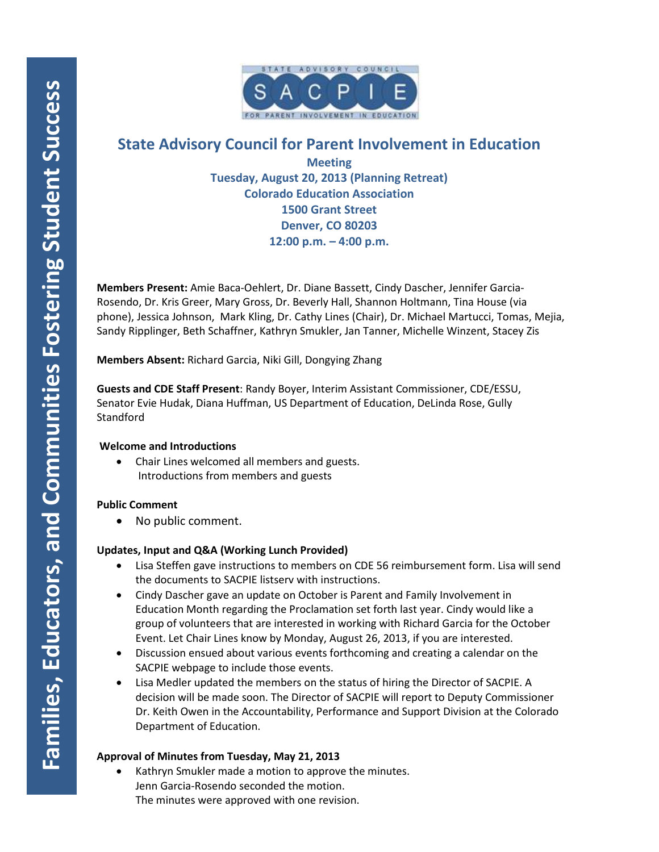

# **State Advisory Council for Parent Involvement in Education**

**Meeting Tuesday, August 20, 2013 (Planning Retreat) Colorado Education Association 1500 Grant Street Denver, CO 80203 12:00 p.m. – 4:00 p.m.**

**Members Present:** Amie Baca-Oehlert, Dr. Diane Bassett, Cindy Dascher, Jennifer Garcia-Rosendo, Dr. Kris Greer, Mary Gross, Dr. Beverly Hall, Shannon Holtmann, Tina House (via phone), Jessica Johnson, Mark Kling, Dr. Cathy Lines (Chair), Dr. Michael Martucci, Tomas, Mejia, Sandy Ripplinger, Beth Schaffner, Kathryn Smukler, Jan Tanner, Michelle Winzent, Stacey Zis

**Members Absent:** Richard Garcia, Niki Gill, Dongying Zhang

**Guests and CDE Staff Present**: Randy Boyer, Interim Assistant Commissioner, CDE/ESSU, Senator Evie Hudak, Diana Huffman, US Department of Education, DeLinda Rose, Gully **Standford** 

## **Welcome and Introductions**

• Chair Lines welcomed all members and guests. Introductions from members and guests

# **Public Comment**

• No public comment.

# **Updates, Input and Q&A (Working Lunch Provided)**

- Lisa Steffen gave instructions to members on CDE 56 reimbursement form. Lisa will send the documents to SACPIE listserv with instructions.
- Cindy Dascher gave an update on October is Parent and Family Involvement in Education Month regarding the Proclamation set forth last year. Cindy would like a group of volunteers that are interested in working with Richard Garcia for the October Event. Let Chair Lines know by Monday, August 26, 2013, if you are interested.
- Discussion ensued about various events forthcoming and creating a calendar on the SACPIE webpage to include those events.
- Lisa Medler updated the members on the status of hiring the Director of SACPIE. A decision will be made soon. The Director of SACPIE will report to Deputy Commissioner Dr. Keith Owen in the Accountability, Performance and Support Division at the Colorado Department of Education.

# **Approval of Minutes from Tuesday, May 21, 2013**

Kathryn Smukler made a motion to approve the minutes. Jenn Garcia-Rosendo seconded the motion. The minutes were approved with one revision.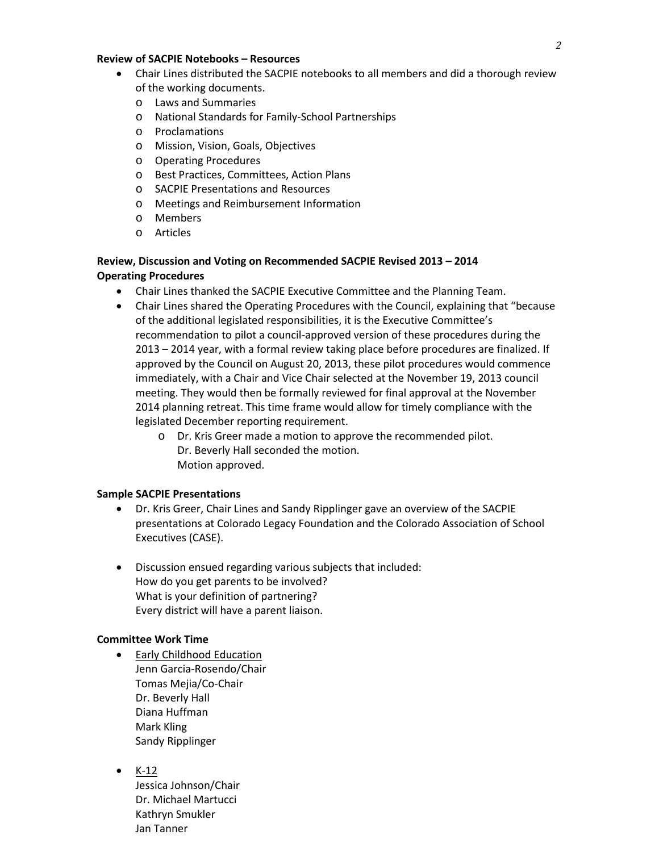#### **Review of SACPIE Notebooks – Resources**

- Chair Lines distributed the SACPIE notebooks to all members and did a thorough review of the working documents.
	- o Laws and Summaries
	- o National Standards for Family-School Partnerships
	- o Proclamations
	- o Mission, Vision, Goals, Objectives
	- o Operating Procedures
	- o Best Practices, Committees, Action Plans
	- o SACPIE Presentations and Resources
	- o Meetings and Reimbursement Information
	- o Members
	- o Articles

## **Review, Discussion and Voting on Recommended SACPIE Revised 2013 – 2014 Operating Procedures**

- Chair Lines thanked the SACPIE Executive Committee and the Planning Team.
- Chair Lines shared the Operating Procedures with the Council, explaining that "because of the additional legislated responsibilities, it is the Executive Committee's recommendation to pilot a council-approved version of these procedures during the 2013 – 2014 year, with a formal review taking place before procedures are finalized. If approved by the Council on August 20, 2013, these pilot procedures would commence immediately, with a Chair and Vice Chair selected at the November 19, 2013 council meeting. They would then be formally reviewed for final approval at the November 2014 planning retreat. This time frame would allow for timely compliance with the legislated December reporting requirement.
	- o Dr. Kris Greer made a motion to approve the recommended pilot. Dr. Beverly Hall seconded the motion. Motion approved.

## **Sample SACPIE Presentations**

- Dr. Kris Greer, Chair Lines and Sandy Ripplinger gave an overview of the SACPIE presentations at Colorado Legacy Foundation and the Colorado Association of School Executives (CASE).
- Discussion ensued regarding various subjects that included: How do you get parents to be involved? What is your definition of partnering? Every district will have a parent liaison.

## **Committee Work Time**

- Early Childhood Education Jenn Garcia-Rosendo/Chair Tomas Mejia/Co-Chair Dr. Beverly Hall Diana Huffman Mark Kling Sandy Ripplinger
- $\bullet$  K-12

Jessica Johnson/Chair Dr. Michael Martucci Kathryn Smukler Jan Tanner